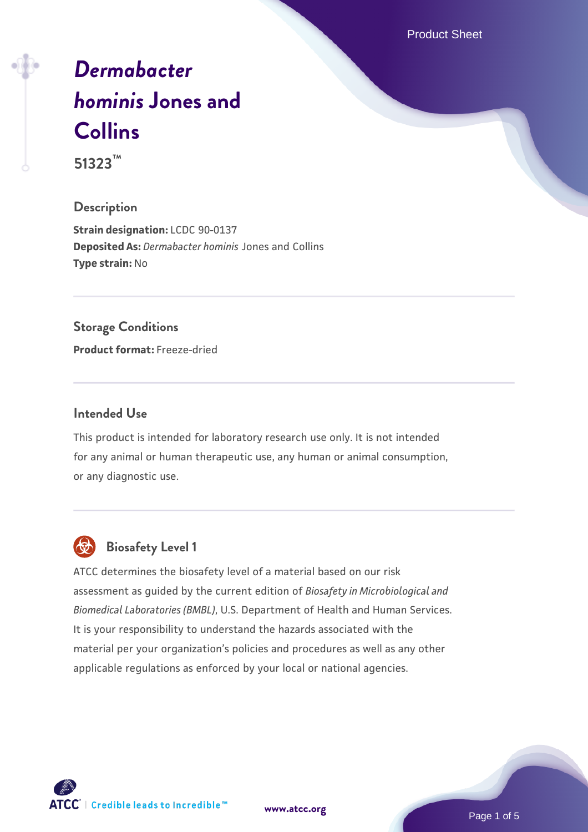Product Sheet

# *[Dermabacter](https://www.atcc.org/products/51323) [hominis](https://www.atcc.org/products/51323)* **[Jones and](https://www.atcc.org/products/51323) [Collins](https://www.atcc.org/products/51323)**

**51323™**

## **Description**

**Strain designation:** LCDC 90-0137 **Deposited As:** *Dermabacter hominis* Jones and Collins **Type strain:** No

## **Storage Conditions**

**Product format:** Freeze-dried

### **Intended Use**

This product is intended for laboratory research use only. It is not intended for any animal or human therapeutic use, any human or animal consumption, or any diagnostic use.



## **Biosafety Level 1**

ATCC determines the biosafety level of a material based on our risk assessment as guided by the current edition of *Biosafety in Microbiological and Biomedical Laboratories (BMBL)*, U.S. Department of Health and Human Services. It is your responsibility to understand the hazards associated with the material per your organization's policies and procedures as well as any other applicable regulations as enforced by your local or national agencies.

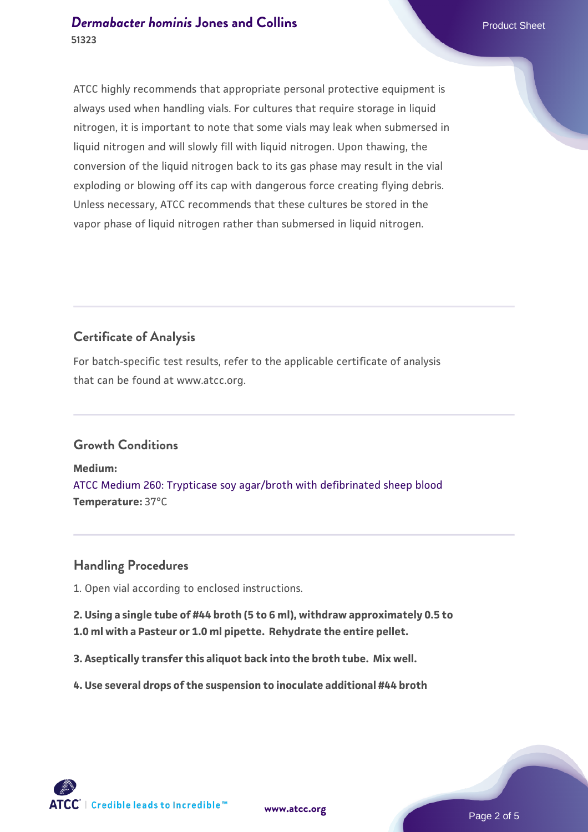ATCC highly recommends that appropriate personal protective equipment is always used when handling vials. For cultures that require storage in liquid nitrogen, it is important to note that some vials may leak when submersed in liquid nitrogen and will slowly fill with liquid nitrogen. Upon thawing, the conversion of the liquid nitrogen back to its gas phase may result in the vial exploding or blowing off its cap with dangerous force creating flying debris. Unless necessary, ATCC recommends that these cultures be stored in the vapor phase of liquid nitrogen rather than submersed in liquid nitrogen.

## **Certificate of Analysis**

For batch-specific test results, refer to the applicable certificate of analysis that can be found at www.atcc.org.

## **Growth Conditions**

**Medium:**  [ATCC Medium 260: Trypticase soy agar/broth with defibrinated sheep blood](https://www.atcc.org/-/media/product-assets/documents/microbial-media-formulations/2/6/0/atcc-medium-0260.pdf?rev=5d6614780b1c4acf817a324e2507f087) **Temperature:** 37°C

## **Handling Procedures**

1. Open vial according to enclosed instructions.

**2. Using a single tube of #44 broth (5 to 6 ml), withdraw approximately 0.5 to 1.0 ml with a Pasteur or 1.0 ml pipette. Rehydrate the entire pellet.**

**3. Aseptically transfer this aliquot back into the broth tube. Mix well.**

**4. Use several drops of the suspension to inoculate additional #44 broth**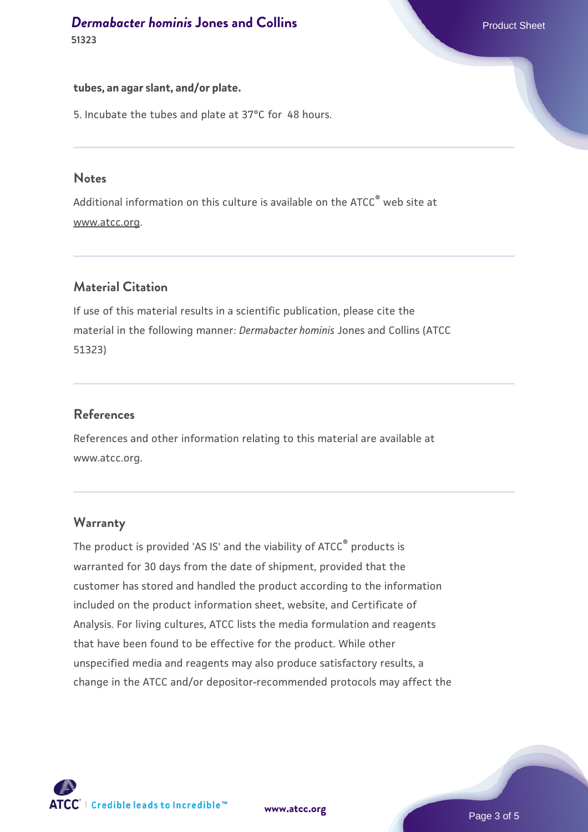#### **tubes, an agar slant, and/or plate.**

5. Incubate the tubes and plate at 37°C for 48 hours.

#### **Notes**

Additional information on this culture is available on the ATCC<sup>®</sup> web site at www.atcc.org.

## **Material Citation**

If use of this material results in a scientific publication, please cite the material in the following manner: *Dermabacter hominis* Jones and Collins (ATCC 51323)

## **References**

References and other information relating to this material are available at www.atcc.org.

## **Warranty**

The product is provided 'AS IS' and the viability of ATCC® products is warranted for 30 days from the date of shipment, provided that the customer has stored and handled the product according to the information included on the product information sheet, website, and Certificate of Analysis. For living cultures, ATCC lists the media formulation and reagents that have been found to be effective for the product. While other unspecified media and reagents may also produce satisfactory results, a change in the ATCC and/or depositor-recommended protocols may affect the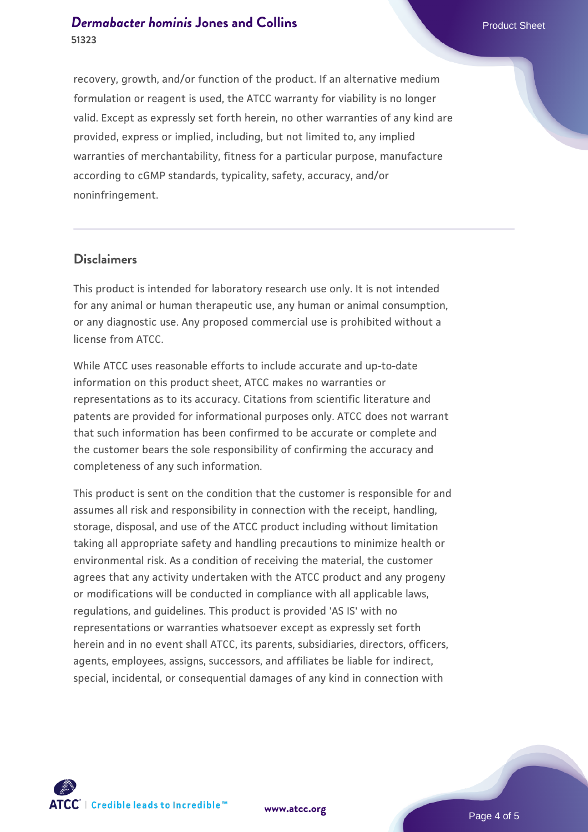recovery, growth, and/or function of the product. If an alternative medium formulation or reagent is used, the ATCC warranty for viability is no longer valid. Except as expressly set forth herein, no other warranties of any kind are provided, express or implied, including, but not limited to, any implied warranties of merchantability, fitness for a particular purpose, manufacture according to cGMP standards, typicality, safety, accuracy, and/or noninfringement.

#### **Disclaimers**

This product is intended for laboratory research use only. It is not intended for any animal or human therapeutic use, any human or animal consumption, or any diagnostic use. Any proposed commercial use is prohibited without a license from ATCC.

While ATCC uses reasonable efforts to include accurate and up-to-date information on this product sheet, ATCC makes no warranties or representations as to its accuracy. Citations from scientific literature and patents are provided for informational purposes only. ATCC does not warrant that such information has been confirmed to be accurate or complete and the customer bears the sole responsibility of confirming the accuracy and completeness of any such information.

This product is sent on the condition that the customer is responsible for and assumes all risk and responsibility in connection with the receipt, handling, storage, disposal, and use of the ATCC product including without limitation taking all appropriate safety and handling precautions to minimize health or environmental risk. As a condition of receiving the material, the customer agrees that any activity undertaken with the ATCC product and any progeny or modifications will be conducted in compliance with all applicable laws, regulations, and guidelines. This product is provided 'AS IS' with no representations or warranties whatsoever except as expressly set forth herein and in no event shall ATCC, its parents, subsidiaries, directors, officers, agents, employees, assigns, successors, and affiliates be liable for indirect, special, incidental, or consequential damages of any kind in connection with





Page 4 of 5